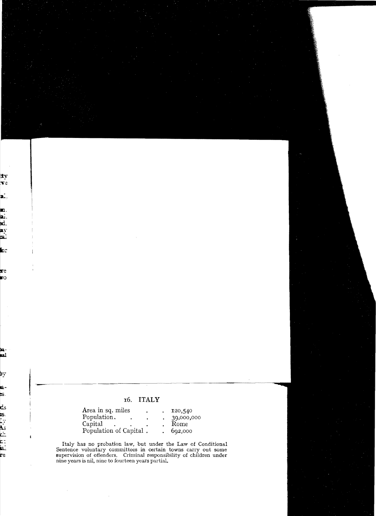## 16. **ITALY**

| Area in sq. miles      |  | 120,540    |
|------------------------|--|------------|
| Population.            |  | 39,000,000 |
| Capital                |  | Rome       |
| Population of Capital. |  | 692,000    |

Italy has no probation law, but under the Law of Conditional Sentence voluntary committees in certain towns carry out some supervision of offenders. Criminal responsibility of children under nine years is nil, nine to fourteen years partial.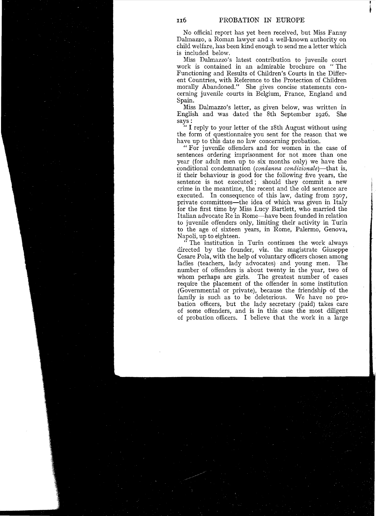,

•

No official report has yet been received, but Miss Fanny Dalmazzo, a Roman lawyer and a well-known authority on child welfare, has been kind enough to send me a letter which is included below.

Miss Dalmazzo's latest contribution to juvenile court work is contained in an admirabie brochure on "The Functioning and Results of Children's Courts in the Different Countries, with Reference to the Protection of Children moraily Abandoned." She gives concise statements concerning juvenile courts in Belgium, France, England and Spain.

Miss Dalmazzo's letter, as given below, was written in English and was dated the 8th September 1926. She says:

" I reply to your letter of the I8th August without using the form of questionnaire you sent for the reason that we have up to this date no law concerning probation.

"For juvenile offenders and for women in the case of sentences ordering imprisonment for not more than one year (for adult men up to six months only) we have the conditional condemnation *(condanna condizionale)-that* is, if their behaviour is good for the following five years, the sentence is not executed; should they commit a new crime in the meantime, the recent and the old sentence are executed. In consequence of this law, dating from I907, private committees-the idea of which was given in Italy for the first time by Miss Lucy Bartlett, who married the Italian advocate Re in Rome-have been founded in relation to juvenile offenders only, limiting their activity in Turin to the age of sixteen years, in Rome, Palermo, Genova, Napoli, up to eighteen.

The institution in Turin continues the work always directed by the founder, viz. the magistrate Giuseppe Cesare Pola, with the help of voluntary officers chosen among ladies (teachers, lady advocates) and young men. The number of offenders is about twenty in the year, two of whom perhaps are girls. The greatest number of cases require the placement of the offender in some institution (Governmental or private), because the friendship of the family is such as to be deleterious. We have no probation officers, but the lady secretary (paid) takes care of some offenders, and is in this case the most diligent of probation officers. I believe that the work in a large